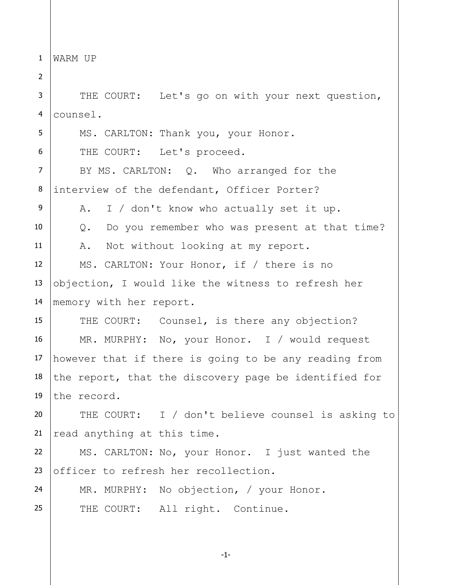1 WARM UP

2 3 4 5 6 7 8 9 10 11 12 13 14 15 16 17 18 19 20 21 22 23 24 25 THE COURT: Let's go on with your next question, counsel. MS. CARLTON: Thank you, your Honor. THE COURT: Let's proceed. BY MS. CARLTON: Q. Who arranged for the interview of the defendant, Officer Porter? A. I / don't know who actually set it up. Q. Do you remember who was present at that time? A. Not without looking at my report. MS. CARLTON: Your Honor, if / there is no objection, I would like the witness to refresh her memory with her report. THE COURT: Counsel, is there any objection? MR. MURPHY: No, your Honor. I / would request however that if there is going to be any reading from the report, that the discovery page be identified for the record. THE COURT: I / don't believe counsel is asking to read anything at this time. MS. CARLTON: No, your Honor. I just wanted the officer to refresh her recollection. MR. MURPHY: No objection, / your Honor. THE COURT: All right. Continue.

-1-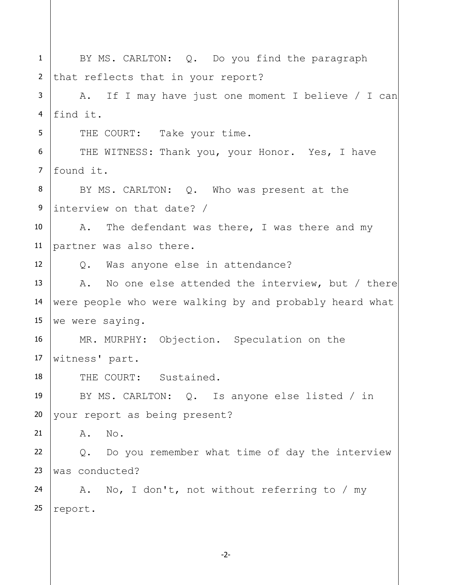| $\mathbf{1}$    | BY MS. CARLTON: Q. Do you find the paragraph            |  |  |  |  |  |  |  |  |
|-----------------|---------------------------------------------------------|--|--|--|--|--|--|--|--|
| $\overline{2}$  | that reflects that in your report?                      |  |  |  |  |  |  |  |  |
| 3               | A. If I may have just one moment I believe / I can      |  |  |  |  |  |  |  |  |
| $\overline{4}$  | find it.                                                |  |  |  |  |  |  |  |  |
| 5               | THE COURT: Take your time.                              |  |  |  |  |  |  |  |  |
| 6               | THE WITNESS: Thank you, your Honor. Yes, I have         |  |  |  |  |  |  |  |  |
| $\overline{7}$  | found it.                                               |  |  |  |  |  |  |  |  |
| 8               | BY MS. CARLTON: Q. Who was present at the               |  |  |  |  |  |  |  |  |
| 9               | interview on that date? /                               |  |  |  |  |  |  |  |  |
| 10 <sup>°</sup> | A. The defendant was there, I was there and my          |  |  |  |  |  |  |  |  |
| 11              | partner was also there.                                 |  |  |  |  |  |  |  |  |
| 12 <sup>2</sup> | Q. Was anyone else in attendance?                       |  |  |  |  |  |  |  |  |
| 13              | A. No one else attended the interview, but / there      |  |  |  |  |  |  |  |  |
| 14              | were people who were walking by and probably heard what |  |  |  |  |  |  |  |  |
| 15 <sub>1</sub> | we were saying.                                         |  |  |  |  |  |  |  |  |
| 16              | MR. MURPHY: Objection. Speculation on the               |  |  |  |  |  |  |  |  |
| 17 <sub>2</sub> | witness' part.                                          |  |  |  |  |  |  |  |  |
| 18              | THE COURT: Sustained.                                   |  |  |  |  |  |  |  |  |
| 19              | BY MS. CARLTON: $Q$ . Is anyone else listed / in        |  |  |  |  |  |  |  |  |
| 20              | your report as being present?                           |  |  |  |  |  |  |  |  |
| 21              | No.<br>Α.                                               |  |  |  |  |  |  |  |  |
| 22              | Q. Do you remember what time of day the interview       |  |  |  |  |  |  |  |  |
| 23              | was conducted?                                          |  |  |  |  |  |  |  |  |
| 24              | A. No, I don't, not without referring to / my           |  |  |  |  |  |  |  |  |
| 25              | report.                                                 |  |  |  |  |  |  |  |  |
|                 |                                                         |  |  |  |  |  |  |  |  |

-2-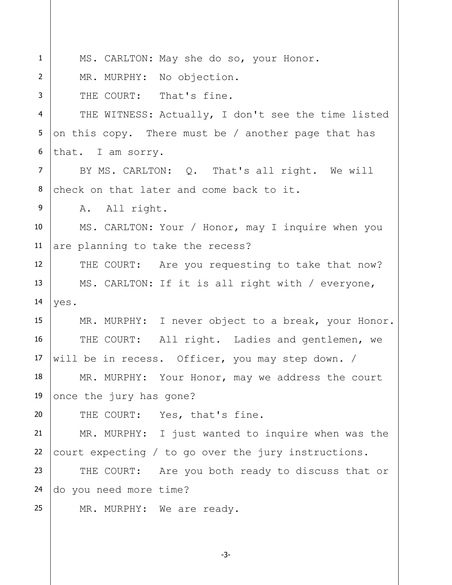| $\mathbf{1}$   | MS. CARLTON: May she do so, your Honor.             |  |  |  |  |  |  |  |  |
|----------------|-----------------------------------------------------|--|--|--|--|--|--|--|--|
| $\overline{2}$ | MR. MURPHY: No objection.                           |  |  |  |  |  |  |  |  |
| 3              | THE COURT: That's fine.                             |  |  |  |  |  |  |  |  |
| $\overline{4}$ | THE WITNESS: Actually, I don't see the time listed  |  |  |  |  |  |  |  |  |
| 5              | on this copy. There must be / another page that has |  |  |  |  |  |  |  |  |
| 6              | that. I am sorry.                                   |  |  |  |  |  |  |  |  |
| $\overline{7}$ | BY MS. CARLTON: Q. That's all right. We will        |  |  |  |  |  |  |  |  |
| 8              | check on that later and come back to it.            |  |  |  |  |  |  |  |  |
| 9              | A. All right.                                       |  |  |  |  |  |  |  |  |
| 10             | MS. CARLTON: Your / Honor, may I inquire when you   |  |  |  |  |  |  |  |  |
| 11             | are planning to take the recess?                    |  |  |  |  |  |  |  |  |
| 12             | THE COURT: Are you requesting to take that now?     |  |  |  |  |  |  |  |  |
| 13             | MS. CARLTON: If it is all right with / everyone,    |  |  |  |  |  |  |  |  |
| 14             | yes.                                                |  |  |  |  |  |  |  |  |
| 15             | MR. MURPHY: I never object to a break, your Honor.  |  |  |  |  |  |  |  |  |
| 16             | THE COURT: All right. Ladies and gentlemen, we      |  |  |  |  |  |  |  |  |
| 17             | will be in recess. Officer, you may step down. /    |  |  |  |  |  |  |  |  |
| 18             | MR. MURPHY: Your Honor, may we address the court    |  |  |  |  |  |  |  |  |
| 19             | once the jury has gone?                             |  |  |  |  |  |  |  |  |
| 20             | THE COURT: Yes, that's fine.                        |  |  |  |  |  |  |  |  |
| 21             | MR. MURPHY: I just wanted to inquire when was the   |  |  |  |  |  |  |  |  |
| 22             | court expecting / to go over the jury instructions. |  |  |  |  |  |  |  |  |
| 23             | THE COURT: Are you both ready to discuss that or    |  |  |  |  |  |  |  |  |
| 24             | do you need more time?                              |  |  |  |  |  |  |  |  |
| 25             | MR. MURPHY: We are ready.                           |  |  |  |  |  |  |  |  |
|                |                                                     |  |  |  |  |  |  |  |  |

-3-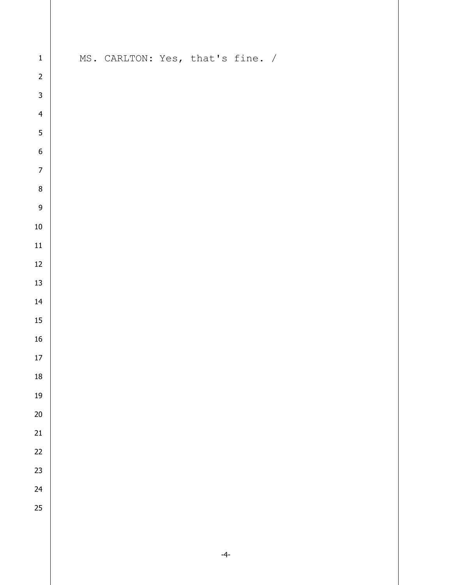| $\mathbf{1}$   |  | MS. CARLTON: Yes, that's fine. / |  |  |
|----------------|--|----------------------------------|--|--|
| $\overline{c}$ |  |                                  |  |  |
| $\overline{3}$ |  |                                  |  |  |
| $\overline{4}$ |  |                                  |  |  |
| $\overline{5}$ |  |                                  |  |  |
| $\overline{6}$ |  |                                  |  |  |
| $\overline{7}$ |  |                                  |  |  |
| $\bf{8}$       |  |                                  |  |  |
| $\overline{9}$ |  |                                  |  |  |
| ${\bf 10}$     |  |                                  |  |  |
| ${\bf 11}$     |  |                                  |  |  |
| $12\,$         |  |                                  |  |  |
| 13             |  |                                  |  |  |
| 14             |  |                                  |  |  |
| $15\,$         |  |                                  |  |  |
| ${\bf 16}$     |  |                                  |  |  |
| $17\,$         |  |                                  |  |  |
| ${\bf 18}$     |  |                                  |  |  |
| $19\,$         |  |                                  |  |  |
| $20\,$         |  |                                  |  |  |
| 21             |  |                                  |  |  |
| 22             |  |                                  |  |  |
| 23             |  |                                  |  |  |
| 24             |  |                                  |  |  |
| 25             |  |                                  |  |  |
|                |  |                                  |  |  |
|                |  |                                  |  |  |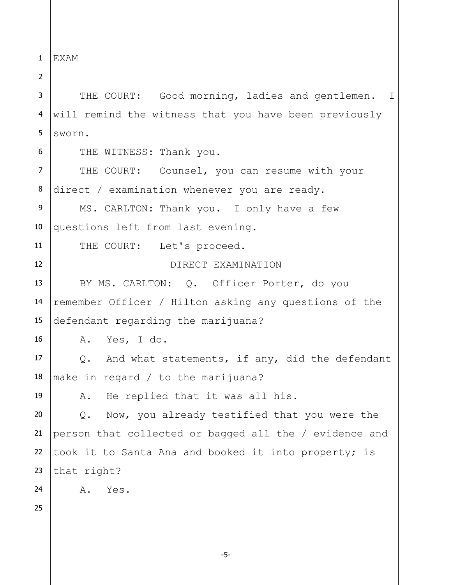1 EXAM

3 4 5 THE COURT: Good morning, ladies and gentlemen. I will remind the witness that you have been previously sworn.

6

11

12

2

THE WITNESS: Thank you.

7 8 THE COURT: Counsel, you can resume with your direct / examination whenever you are ready.

9 10 MS. CARLTON: Thank you. I only have a few questions left from last evening.

THE COURT: Let's proceed.

DIRECT EXAMINATION

13 14 15 BY MS. CARLTON: Q. Officer Porter, do you remember Officer / Hilton asking any questions of the defendant regarding the marijuana?

16 A. Yes, I do.

17 18 Q. And what statements, if any, did the defendant make in regard / to the marijuana?

A. He replied that it was all his.

20 21 22 23 Q. Now, you already testified that you were the person that collected or bagged all the / evidence and took it to Santa Ana and booked it into property; is that right?

A. Yes.

25

24

19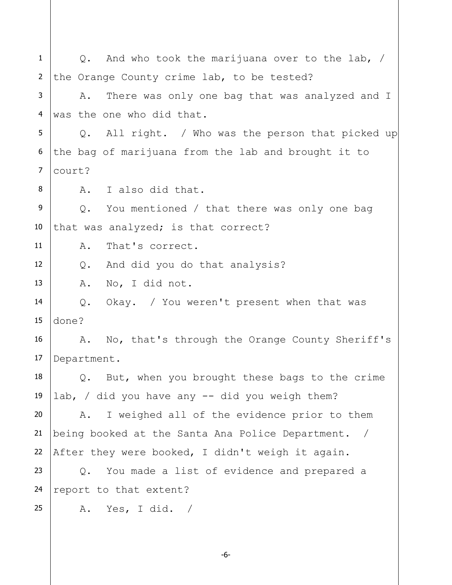1 2 3 4 5 6 7 8 9 10 11 12 13 14 15 16 17 18 19 20 21 22 23 24 25 Q. And who took the marijuana over to the lab, / the Orange County crime lab, to be tested? A. There was only one bag that was analyzed and I was the one who did that. Q. All right. / Who was the person that picked up the bag of marijuana from the lab and brought it to court? A. I also did that. Q. You mentioned / that there was only one bag that was analyzed; is that correct? A. That's correct. Q. And did you do that analysis? A. No, I did not. Q. Okay. / You weren't present when that was done? A. No, that's through the Orange County Sheriff's Department. Q. But, when you brought these bags to the crime lab, / did you have any  $-$  did you weigh them? A. I weighed all of the evidence prior to them being booked at the Santa Ana Police Department. / After they were booked, I didn't weigh it again. Q. You made a list of evidence and prepared a report to that extent? A. Yes, I did. /

-6-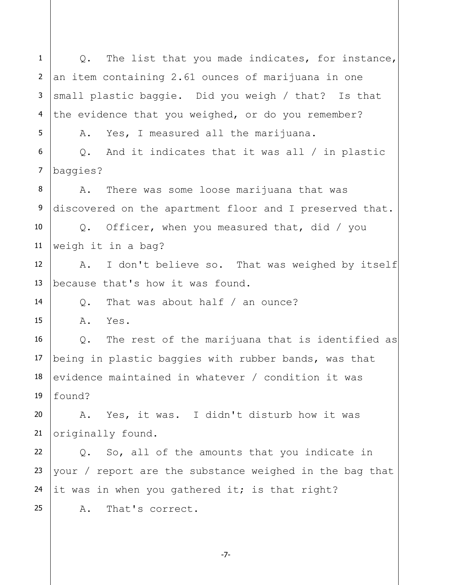1 2 3 4 5 6 7 8 9 10 11 12 13 14 15 16 17 18 19 20 21 22 23 24 25 Q. The list that you made indicates, for instance, an item containing 2.61 ounces of marijuana in one small plastic baggie. Did you weigh / that? Is that the evidence that you weighed, or do you remember? A. Yes, I measured all the marijuana. Q. And it indicates that it was all / in plastic baggies? A. There was some loose marijuana that was discovered on the apartment floor and I preserved that. Q. Officer, when you measured that, did / you weigh it in a bag? A. I don't believe so. That was weighed by itself because that's how it was found. Q. That was about half / an ounce? A. Yes. Q. The rest of the marijuana that is identified as being in plastic baggies with rubber bands, was that evidence maintained in whatever / condition it was found? A. Yes, it was. I didn't disturb how it was originally found. Q. So, all of the amounts that you indicate in your / report are the substance weighed in the bag that it was in when you gathered it; is that right? A. That's correct.

-7-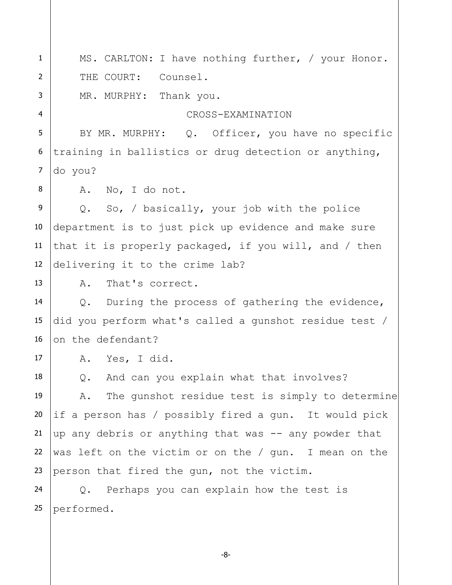1 2 3 4 5 6 7 8 9 10 11 12 13 14 15 16 17 18 19 20 21 22 23 24 25 MS. CARLTON: I have nothing further, / your Honor. THE COURT: Counsel. MR. MURPHY: Thank you. CROSS-EXAMINATION BY MR. MURPHY: Q. Officer, you have no specific training in ballistics or drug detection or anything, do you? A. No, I do not. Q. So, / basically, your job with the police department is to just pick up evidence and make sure that it is properly packaged, if you will, and / then delivering it to the crime lab? A. That's correct. Q. During the process of gathering the evidence, did you perform what's called a gunshot residue test / on the defendant? A. Yes, I did. Q. And can you explain what that involves? A. The gunshot residue test is simply to determine if a person has / possibly fired a gun. It would pick up any debris or anything that was -- any powder that was left on the victim or on the / gun. I mean on the person that fired the gun, not the victim. Q. Perhaps you can explain how the test is performed.

-8-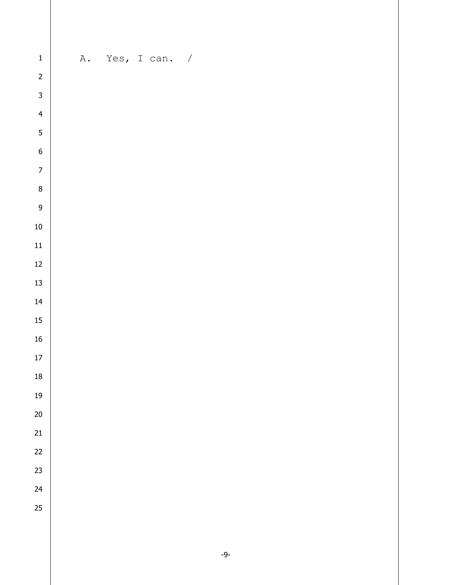| $\mathbf{1}$   | A. Yes, I can. / |  |  |  |  |
|----------------|------------------|--|--|--|--|
| $\overline{c}$ |                  |  |  |  |  |
| $\overline{3}$ |                  |  |  |  |  |
| $\overline{4}$ |                  |  |  |  |  |
| $\overline{5}$ |                  |  |  |  |  |
| $\overline{6}$ |                  |  |  |  |  |
| $\overline{7}$ |                  |  |  |  |  |
| $\overline{8}$ |                  |  |  |  |  |
| $\overline{9}$ |                  |  |  |  |  |
| 10             |                  |  |  |  |  |
| 11             |                  |  |  |  |  |
| $12$           |                  |  |  |  |  |
| 13             |                  |  |  |  |  |
| 14             |                  |  |  |  |  |
| $15\,$         |                  |  |  |  |  |
| 16             |                  |  |  |  |  |
| $17\,$         |                  |  |  |  |  |
| 18             |                  |  |  |  |  |
| $19\,$         |                  |  |  |  |  |
| $20\,$         |                  |  |  |  |  |
| 21             |                  |  |  |  |  |
| 22             |                  |  |  |  |  |
| 23             |                  |  |  |  |  |
| 24             |                  |  |  |  |  |
| 25             |                  |  |  |  |  |
|                |                  |  |  |  |  |
|                |                  |  |  |  |  |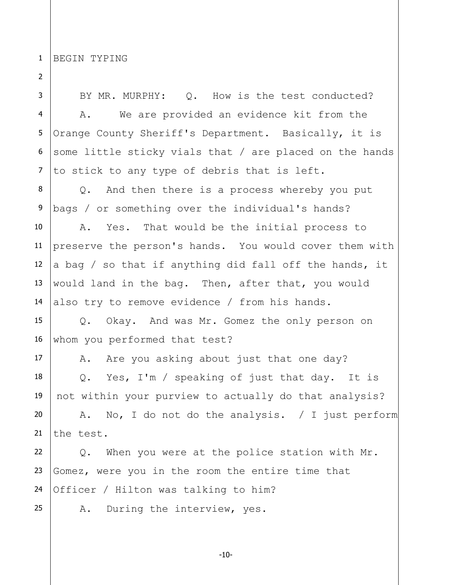1 BEGIN TYPING

2

3 4 5 6 7 8 9 10 11 12 13 14 15 16 17 18 19 20 21 22 23 24 25 BY MR. MURPHY: Q. How is the test conducted? A. We are provided an evidence kit from the Orange County Sheriff's Department. Basically, it is some little sticky vials that / are placed on the hands to stick to any type of debris that is left. Q. And then there is a process whereby you put bags / or something over the individual's hands? A. Yes. That would be the initial process to preserve the person's hands. You would cover them with a bag / so that if anything did fall off the hands, it would land in the bag. Then, after that, you would also try to remove evidence / from his hands. Q. Okay. And was Mr. Gomez the only person on whom you performed that test? A. Are you asking about just that one day? Q. Yes, I'm / speaking of just that day. It is not within your purview to actually do that analysis? A. No, I do not do the analysis. / I just perform the test. Q. When you were at the police station with Mr. Gomez, were you in the room the entire time that Officer / Hilton was talking to him? A. During the interview, yes.

-10-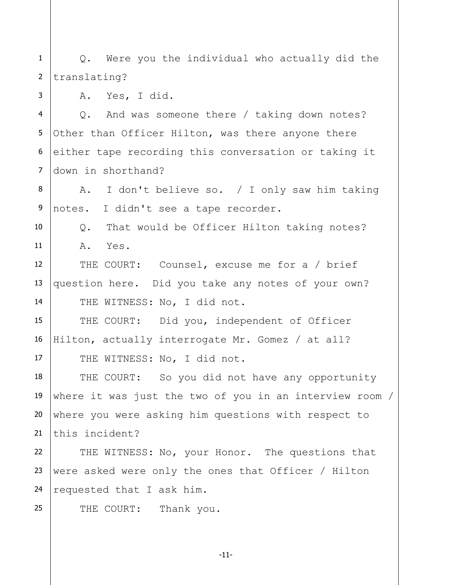1 2 Q. Were you the individual who actually did the translating?

3

25

A. Yes, I did.

4 5 6 7 Q. And was someone there / taking down notes? Other than Officer Hilton, was there anyone there either tape recording this conversation or taking it down in shorthand?

8 9 A. I don't believe so. / I only saw him taking notes. I didn't see a tape recorder.

10 11 Q. That would be Officer Hilton taking notes? A. Yes.

12 13 14 THE COURT: Counsel, excuse me for a / brief question here. Did you take any notes of your own? THE WITNESS: No, I did not.

15 16 17 THE COURT: Did you, independent of Officer Hilton, actually interrogate Mr. Gomez / at all? THE WITNESS: No, I did not.

18 19 20 21 THE COURT: So you did not have any opportunity where it was just the two of you in an interview room / where you were asking him questions with respect to this incident?

22 23 24 THE WITNESS: No, your Honor. The questions that were asked were only the ones that Officer / Hilton requested that I ask him.

THE COURT: Thank you.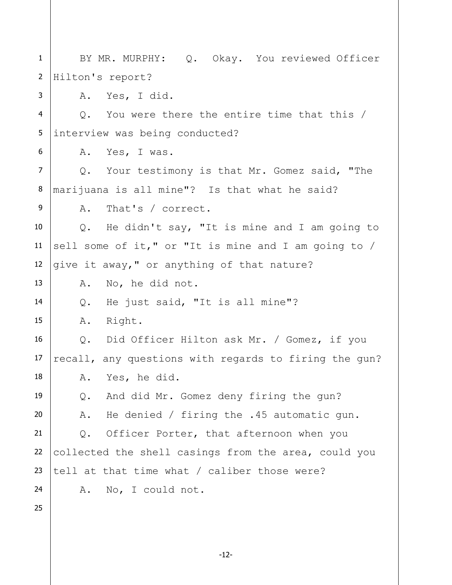1 2 3 4 5 6 7 8 9 10 11 12 13 14 15 16 17 18 19 20 21 22 23 24 25 BY MR. MURPHY: Q. Okay. You reviewed Officer Hilton's report? A. Yes, I did. Q. You were there the entire time that this / interview was being conducted? A. Yes, I was. Q. Your testimony is that Mr. Gomez said, "The marijuana is all mine"? Is that what he said? A. That's / correct. Q. He didn't say, "It is mine and I am going to sell some of it," or "It is mine and I am going to / give it away," or anything of that nature? A. No, he did not. Q. He just said, "It is all mine"? A. Right. Q. Did Officer Hilton ask Mr. / Gomez, if you recall, any questions with regards to firing the gun? A. Yes, he did. Q. And did Mr. Gomez deny firing the gun? A. He denied / firing the .45 automatic gun. Q. Officer Porter, that afternoon when you collected the shell casings from the area, could you tell at that time what / caliber those were? A. No, I could not.

-12-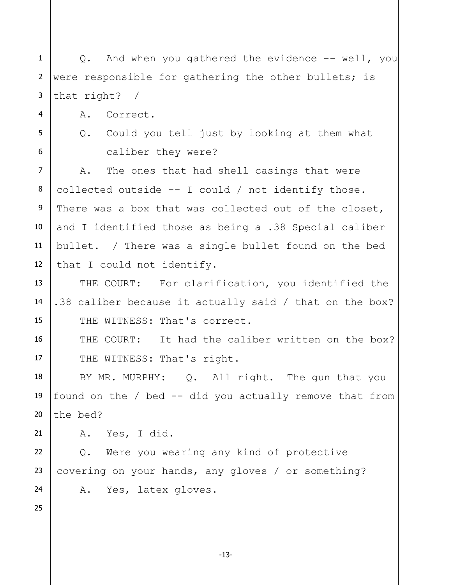1 2 3 Q. And when you gathered the evidence -- well, you were responsible for gathering the other bullets; is that right? /

A. Correct.

5

4

6

Q. Could you tell just by looking at them what

caliber they were?

7 8 9 10 11 12 A. The ones that had shell casings that were collected outside -- I could / not identify those. There was a box that was collected out of the closet, and I identified those as being a .38 Special caliber bullet. / There was a single bullet found on the bed that I could not identify.

13 14 15 THE COURT: For clarification, you identified the .38 caliber because it actually said / that on the box? THE WITNESS: That's correct.

16 17 THE COURT: It had the caliber written on the box? THE WITNESS: That's right.

18 19 20 BY MR. MURPHY: Q. All right. The gun that you found on the  $/$  bed  $-$  did you actually remove that from the bed?

21 A. Yes, I did.

22 23 24 Q. Were you wearing any kind of protective covering on your hands, any gloves / or something? A. Yes, latex gloves.

25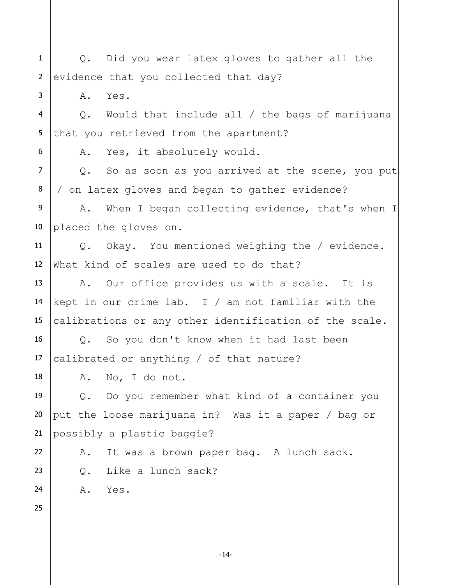1 2 3 4 5 6 7 8 9 10 11 12 13 14 15 16 17 18 19 20 21 22 23 24 25 Q. Did you wear latex gloves to gather all the evidence that you collected that day? A. Yes. Q. Would that include all / the bags of marijuana that you retrieved from the apartment? A. Yes, it absolutely would. Q. So as soon as you arrived at the scene, you put / on latex gloves and began to gather evidence? A. When I began collecting evidence, that's when I placed the gloves on. Q. Okay. You mentioned weighing the / evidence. What kind of scales are used to do that? A. Our office provides us with a scale. It is kept in our crime lab. I / am not familiar with the calibrations or any other identification of the scale. Q. So you don't know when it had last been calibrated or anything / of that nature? A. No, I do not. Q. Do you remember what kind of a container you put the loose marijuana in? Was it a paper / bag or possibly a plastic baggie? A. It was a brown paper bag. A lunch sack. Q. Like a lunch sack? A. Yes.

-14-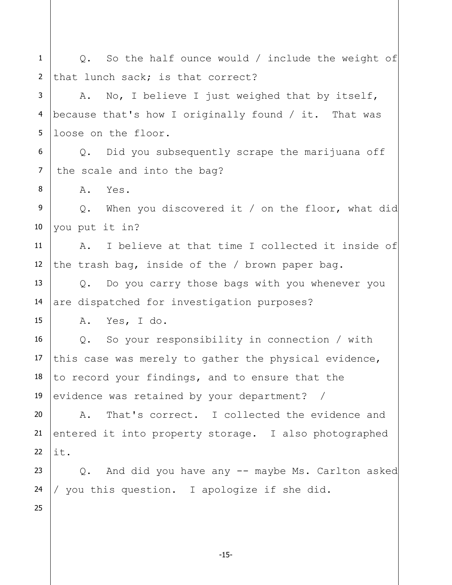1 2 3 4 5 6 7 8 9 10 11 12 13 14 15 16 17 18 19 20 21 22 23 24 25 Q. So the half ounce would / include the weight of that lunch sack; is that correct? A. No, I believe I just weighed that by itself, because that's how I originally found / it. That was loose on the floor. Q. Did you subsequently scrape the marijuana off the scale and into the bag? A. Yes. Q. When you discovered it / on the floor, what did you put it in? A. I believe at that time I collected it inside of the trash bag, inside of the / brown paper bag. Q. Do you carry those bags with you whenever you are dispatched for investigation purposes? A. Yes, I do. Q. So your responsibility in connection / with this case was merely to gather the physical evidence, to record your findings, and to ensure that the evidence was retained by your department? / A. That's correct. I collected the evidence and entered it into property storage. I also photographed it. Q. And did you have any -- maybe Ms. Carlton asked / you this question. I apologize if she did.

-15-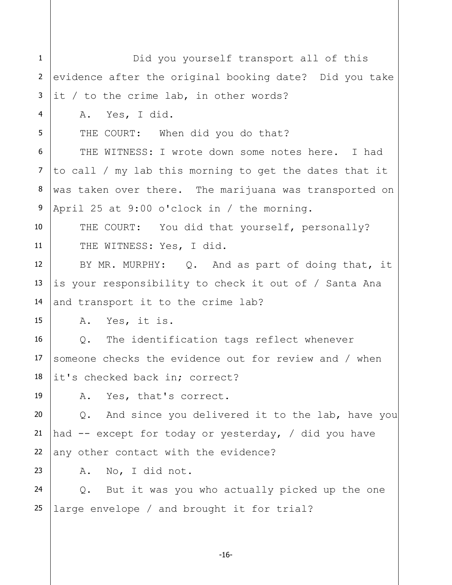| $\mathbf{1}$      |                                                        |  |  |  |  |  |  |  |  |
|-------------------|--------------------------------------------------------|--|--|--|--|--|--|--|--|
|                   | Did you yourself transport all of this                 |  |  |  |  |  |  |  |  |
| $\overline{2}$    | evidence after the original booking date? Did you take |  |  |  |  |  |  |  |  |
| 3                 | it / to the crime lab, in other words?                 |  |  |  |  |  |  |  |  |
| $\overline{4}$    | A. Yes, I did.                                         |  |  |  |  |  |  |  |  |
| 5                 | THE COURT: When did you do that?                       |  |  |  |  |  |  |  |  |
| 6                 | THE WITNESS: I wrote down some notes here. I had       |  |  |  |  |  |  |  |  |
| $\overline{7}$    | to call / my lab this morning to get the dates that it |  |  |  |  |  |  |  |  |
| 8                 | was taken over there. The marijuana was transported on |  |  |  |  |  |  |  |  |
| 9                 | April 25 at 9:00 o'clock in / the morning.             |  |  |  |  |  |  |  |  |
| 10                | THE COURT: You did that yourself, personally?          |  |  |  |  |  |  |  |  |
| 11                | THE WITNESS: Yes, I did.                               |  |  |  |  |  |  |  |  |
| $12 \overline{ }$ | BY MR. MURPHY: Q. And as part of doing that, it        |  |  |  |  |  |  |  |  |
| 13                | is your responsibility to check it out of / Santa Ana  |  |  |  |  |  |  |  |  |
| 14                | and transport it to the crime lab?                     |  |  |  |  |  |  |  |  |
| 15                | A. Yes, it is.                                         |  |  |  |  |  |  |  |  |
| 16                | Q. The identification tags reflect whenever            |  |  |  |  |  |  |  |  |
| 17                | someone checks the evidence out for review and / when  |  |  |  |  |  |  |  |  |
| 18                | it's checked back in; correct?                         |  |  |  |  |  |  |  |  |
| 19                | A. Yes, that's correct.                                |  |  |  |  |  |  |  |  |
| 20                | And since you delivered it to the lab, have you<br>Q.  |  |  |  |  |  |  |  |  |
| 21                | had -- except for today or yesterday, / did you have   |  |  |  |  |  |  |  |  |
| 22                | any other contact with the evidence?                   |  |  |  |  |  |  |  |  |
| 23                | No, I did not.<br>Α.                                   |  |  |  |  |  |  |  |  |
| 24                | Q. But it was you who actually picked up the one       |  |  |  |  |  |  |  |  |
| 25                | large envelope / and brought it for trial?             |  |  |  |  |  |  |  |  |

-16-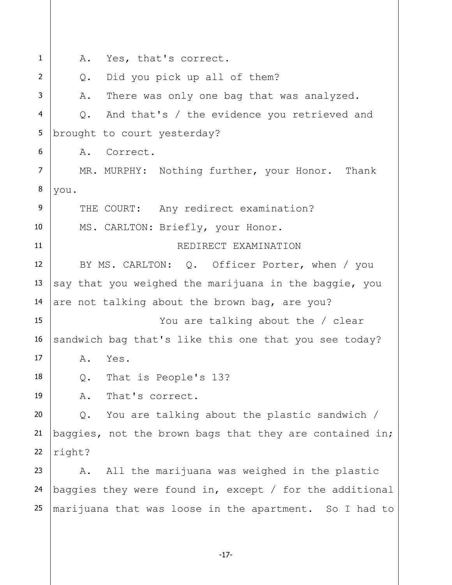1 2 3 4 5 6 7 8 9 10 11 12 13 14 15 16 17 18 19 20 21 22 23 24 25 A. Yes, that's correct. Q. Did you pick up all of them? A. There was only one bag that was analyzed. Q. And that's / the evidence you retrieved and brought to court yesterday? A. Correct. MR. MURPHY: Nothing further, your Honor. Thank you. THE COURT: Any redirect examination? MS. CARLTON: Briefly, your Honor. REDIRECT EXAMINATION BY MS. CARLTON: Q. Officer Porter, when / you say that you weighed the marijuana in the baggie, you are not talking about the brown bag, are you? You are talking about the / clear sandwich bag that's like this one that you see today? A. Yes. Q. That is People's 13? A. That's correct. Q. You are talking about the plastic sandwich / baggies, not the brown bags that they are contained in; right? A. All the marijuana was weighed in the plastic baggies they were found in, except / for the additional marijuana that was loose in the apartment. So I had to

-17-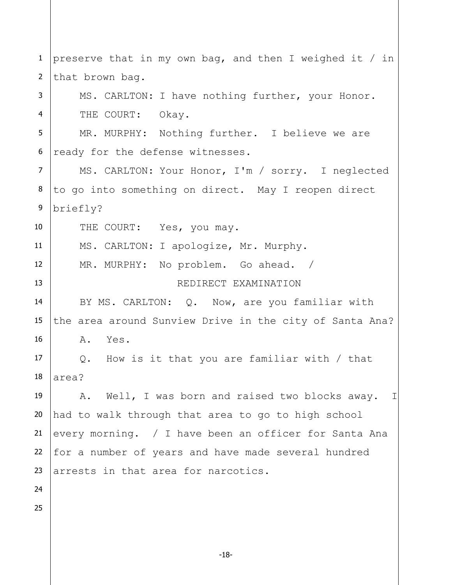1 2 3 4 5 6 7 8 9 10 11 12 13 14 15 16 17 18 19 20 21 22 23 24 25 preserve that in my own bag, and then I weighed it / in that brown bag. MS. CARLTON: I have nothing further, your Honor. THE COURT: Okay. MR. MURPHY: Nothing further. I believe we are ready for the defense witnesses. MS. CARLTON: Your Honor, I'm / sorry. I neglected to go into something on direct. May I reopen direct briefly? THE COURT: Yes, you may. MS. CARLTON: I apologize, Mr. Murphy. MR. MURPHY: No problem. Go ahead. / REDIRECT EXAMINATION BY MS. CARLTON: Q. Now, are you familiar with the area around Sunview Drive in the city of Santa Ana? A. Yes. Q. How is it that you are familiar with / that area? A. Well, I was born and raised two blocks away. I had to walk through that area to go to high school every morning. / I have been an officer for Santa Ana for a number of years and have made several hundred arrests in that area for narcotics.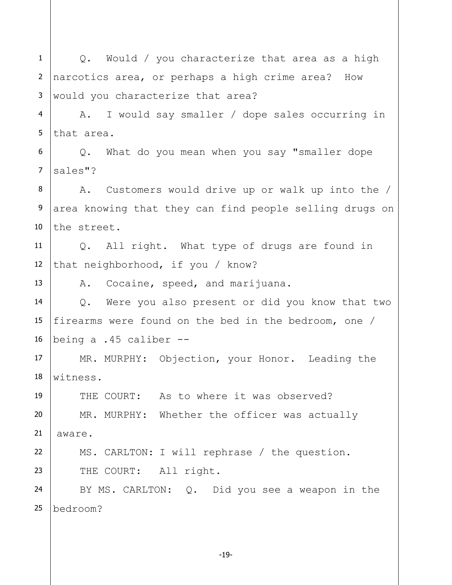1 2 3 4 5 6 7 8 9 10 11 12 13 14 15 16 17 18 19 20 21 22 23 24 25 Q. Would / you characterize that area as a high narcotics area, or perhaps a high crime area? How would you characterize that area? A. I would say smaller / dope sales occurring in that area. Q. What do you mean when you say "smaller dope sales"? A. Customers would drive up or walk up into the / area knowing that they can find people selling drugs on the street. Q. All right. What type of drugs are found in that neighborhood, if you / know? A. Cocaine, speed, and marijuana. Q. Were you also present or did you know that two firearms were found on the bed in the bedroom, one / being a .45 caliber -- MR. MURPHY: Objection, your Honor. Leading the witness. THE COURT: As to where it was observed? MR. MURPHY: Whether the officer was actually aware. MS. CARLTON: I will rephrase / the question. THE COURT: All right. BY MS. CARLTON: Q. Did you see a weapon in the bedroom?

-19-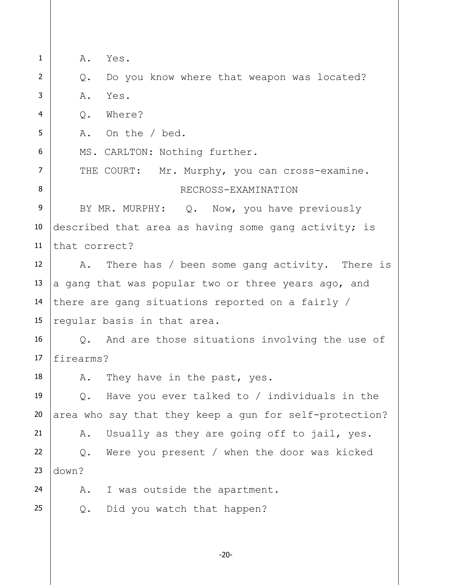1 2 3 4 5 6 7 8 9 10 11 12 13 14 15 16 17 18 19 20 21 22 23 24 25 A. Yes. Q. Do you know where that weapon was located? A. Yes. Q. Where? A. On the / bed. MS. CARLTON: Nothing further. THE COURT: Mr. Murphy, you can cross-examine. RECROSS-EXAMINATION BY MR. MURPHY: Q. Now, you have previously described that area as having some gang activity; is that correct? A. There has / been some gang activity. There is a gang that was popular two or three years ago, and there are gang situations reported on a fairly / regular basis in that area. Q. And are those situations involving the use of firearms? A. They have in the past, yes. Q. Have you ever talked to / individuals in the area who say that they keep a gun for self-protection? A. Usually as they are going off to jail, yes. Q. Were you present / when the door was kicked down? A. I was outside the apartment. Q. Did you watch that happen?

-20-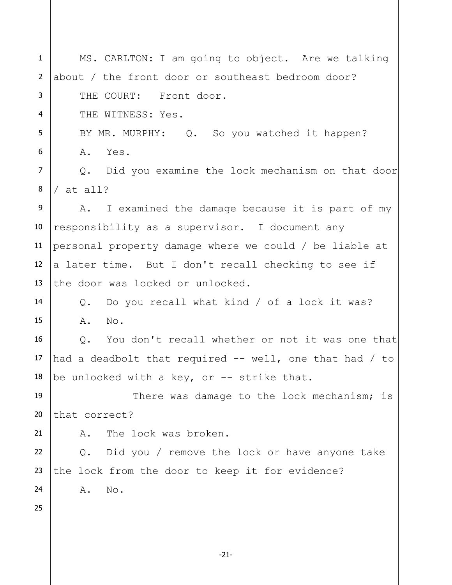1 2 3 4 5 6 7 8 9 10 11 12 13 14 15 16 17 18 19 20 21 22 23 24 25 MS. CARLTON: I am going to object. Are we talking about / the front door or southeast bedroom door? THE COURT: Front door. THE WITNESS: Yes. BY MR. MURPHY: Q. So you watched it happen? A. Yes. Q. Did you examine the lock mechanism on that door / at all? A. I examined the damage because it is part of my responsibility as a supervisor. I document any personal property damage where we could / be liable at a later time. But I don't recall checking to see if the door was locked or unlocked. Q. Do you recall what kind / of a lock it was? A. No. Q. You don't recall whether or not it was one that had a deadbolt that required  $-$  well, one that had / to be unlocked with a key, or  $-$ - strike that. There was damage to the lock mechanism; is that correct? A. The lock was broken. Q. Did you / remove the lock or have anyone take the lock from the door to keep it for evidence? A. No.

-21-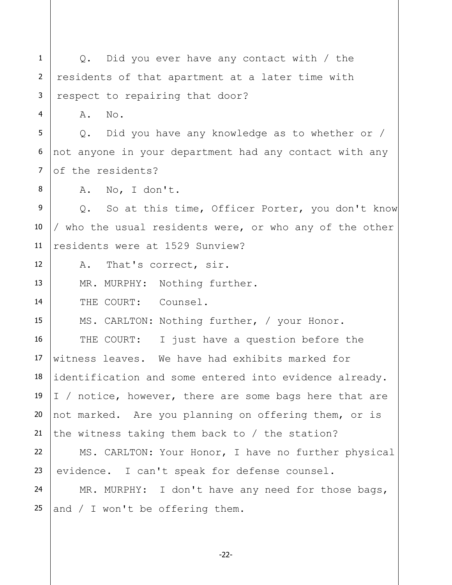1 2 3 4 5 6 7 8 9 10 11 12 13 14 15 16 17 18 19 20 21 22 23 24 25 Q. Did you ever have any contact with / the residents of that apartment at a later time with respect to repairing that door? A. No. Q. Did you have any knowledge as to whether or / not anyone in your department had any contact with any of the residents? A. No, I don't. Q. So at this time, Officer Porter, you don't know / who the usual residents were, or who any of the other residents were at 1529 Sunview? A. That's correct, sir. MR. MURPHY: Nothing further. THE COURT: Counsel. MS. CARLTON: Nothing further, / your Honor. THE COURT: I just have a question before the witness leaves. We have had exhibits marked for identification and some entered into evidence already. I / notice, however, there are some bags here that are not marked. Are you planning on offering them, or is the witness taking them back to / the station? MS. CARLTON: Your Honor, I have no further physical evidence. I can't speak for defense counsel. MR. MURPHY: I don't have any need for those bags, and / I won't be offering them.

-22-